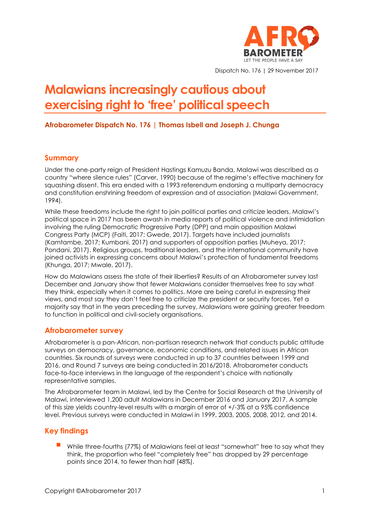

Dispatch No. 176 | 29 November 2017

# **Malawians increasingly cautious about exercising right to 'free' political speech**

#### **Afrobarometer Dispatch No. 176 | Thomas Isbell and Joseph J. Chunga**

#### **Summary**

Under the one-party reign of President Hastings Kamuzu Banda, Malawi was described as a country "where silence rules" (Carver, 1990) because of the regime's effective machinery for squashing dissent. This era ended with a 1993 referendum endorsing a multiparty democracy and constitution enshrining freedom of expression and of association (Malawi Government, 1994).

While these freedoms include the right to join political parties and criticize leaders, Malawi's political space in 2017 has been awash in media reports of political violence and intimidation involving the ruling Democratic Progressive Party (DPP) and main opposition Malawi Congress Party (MCP) (Faiti, 2017; Gwede, 2017). Targets have included journalists (Kamtambe, 2017; Kumbani, 2017) and supporters of opposition parties (Muheya, 2017; Pondani, 2017). Religious groups, traditional leaders, and the international community have joined activists in expressing concerns about Malawi's protection of fundamental freedoms (Khunga, 2017; Mwale, 2017).

How do Malawians assess the state of their liberties? Results of an Afrobarometer survey last December and January show that fewer Malawians consider themselves free to say what they think, especially when it comes to politics. More are being careful in expressing their views, and most say they don't feel free to criticize the president or security forces. Yet a majority say that in the years preceding the survey, Malawians were gaining greater freedom to function in political and civil-society organisations.

#### **Afrobarometer survey**

Afrobarometer is a pan-African, non-partisan research network that conducts public attitude surveys on democracy, governance, economic conditions, and related issues in African countries. Six rounds of surveys were conducted in up to 37 countries between 1999 and 2016, and Round 7 surveys are being conducted in 2016/2018. Afrobarometer conducts face-to-face interviews in the language of the respondent's choice with nationally representative samples.

The Afrobarometer team in Malawi, led by the Centre for Social Research at the University of Malawi, interviewed 1,200 adult Malawians in December 2016 and January 2017. A sample of this size yields country-level results with a margin of error of +/-3% at a 95% confidence level. Previous surveys were conducted in Malawi in 1999, 2003, 2005, 2008, 2012, and 2014.

### **Key findings**

While three-fourths (77%) of Malawians feel at least "somewhat" free to say what they think, the proportion who feel "completely free" has dropped by 29 percentage points since 2014, to fewer than half (48%).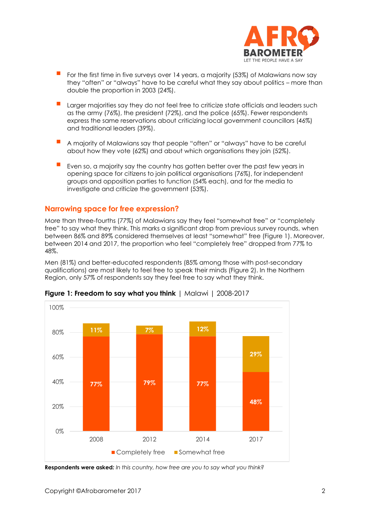

- For the first time in five surveys over 14 years, a majority (53%) of Malawians now say they "often" or "always" have to be careful what they say about politics – more than double the proportion in 2003 (24%).
- Larger majorities say they do not feel free to criticize state officials and leaders such as the army (76%), the president (72%), and the police (65%). Fewer respondents express the same reservations about criticizing local government councillors (46%) and traditional leaders (39%).
- A majority of Malawians say that people "often" or "always" have to be careful about how they vote (62%) and about which organisations they join (52%).
- Even so, a majority say the country has gotten better over the past few years in opening space for citizens to join political organisations (76%), for independent groups and opposition parties to function (54% each), and for the media to investigate and criticize the government (53%).

#### **Narrowing space for free expression?**

More than three-fourths (77%) of Malawians say they feel "somewhat free" or "completely free" to say what they think. This marks a significant drop from previous survey rounds, when between 86% and 89% considered themselves at least "somewhat" free (Figure 1). Moreover, between 2014 and 2017, the proportion who feel "completely free" dropped from 77% to 48%.

Men (81%) and better-educated respondents (85% among those with post-secondary qualifications) are most likely to feel free to speak their minds (Figure 2). In the Northern Region, only 57% of respondents say they feel free to say what they think.



**Figure 1: Freedom to say what you think** | Malawi | 2008-2017

**Respondents were asked***: In this country, how free are you to say what you think?*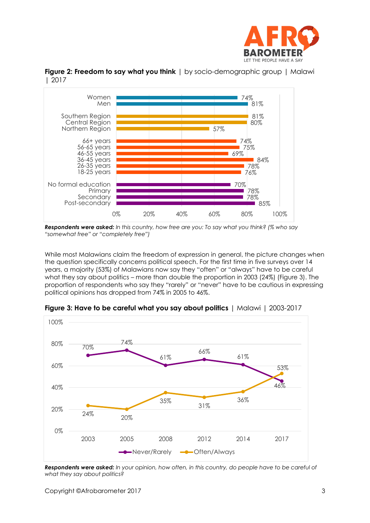



**Figure 2: Freedom to say what you think** | by socio-demographic group | Malawi | 2017

While most Malawians claim the freedom of expression in general, the picture changes when the question specifically concerns political speech. For the first time in five surveys over 14 years, a majority (53%) of Malawians now say they "often" or "always" have to be careful what they say about politics – more than double the proportion in 2003 (24%) (Figure 3). The proportion of respondents who say they "rarely" or "never" have to be cautious in expressing political opinions has dropped from 74% in 2005 to 46%.



**Figure 3: Have to be careful what you say about politics** | Malawi | 2003-2017

*Respondents were asked: In your opinion, how often, in this country, do people have to be careful of what they say about politics?* 

*Respondents were asked: In this country, how free are you: To say what you think? (% who say "somewhat free" or "completely free")*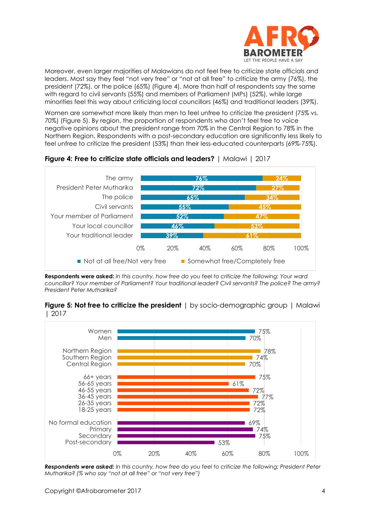

Moreover, even larger majorities of Malawians do not feel free to criticize state officials and leaders. Most say they feel "not very free" or "not at all free" to criticize the army (76%), the president (72%), or the police (65%) (Figure 4). More than half of respondents say the same with regard to civil servants (55%) and members of Parliament (MPs) (52%), while large minorities feel this way about criticizing local councillors (46%) and traditional leaders (39%).

Women are somewhat more likely than men to feel unfree to criticize the president (75% vs. 70%) (Figure 5). By region, the proportion of respondents who don't feel free to voice negative opinions about the president range from 70% in the Central Region to 78% in the Northern Region. Respondents with a post-secondary education are significantly less likely to feel unfree to criticize the president (53%) than their less-educated counterparts (69%-75%).



#### **Figure 4: Free to criticize state officials and leaders?** | Malawi | 2017

**Respondents were asked:** *In this country, how free do you feel to criticize the following: Your ward councillor? Your member of Parliament? Your traditional leader? Civil servants? The police? The army? President Peter Mutharika?*

#### **Figure 5: Not free to criticize the president** | by socio-demographic group | Malawi | 2017



*Respondents were asked: In this country, how free do you feel to criticize the following: President Peter Mutharika? (% who say "not at all free" or "not very free")*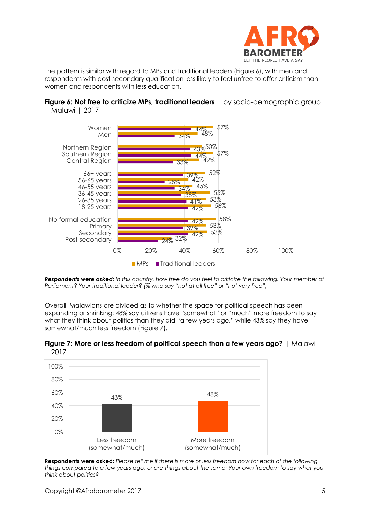

The pattern is similar with regard to MPs and traditional leaders (Figure 6), with men and respondents with post-secondary qualification less likely to feel unfree to offer criticism than women and respondents with less education.





*Respondents were asked: In this country, how free do you feel to criticize the following: Your member of Parliament? Your traditional leader? (% who say "not at all free" or "not very free")*

Overall, Malawians are divided as to whether the space for political speech has been expanding or shrinking: 48% say citizens have "somewhat" or "much" more freedom to say what they think about politics than they did "a few years ago," while 43% say they have somewhat/much less freedom (Figure 7).





**Respondents were asked:** *Please tell me if there is more or less freedom now for each of the following things compared to a few years ago, or are things about the same: Your own freedom to say what you think about politics?*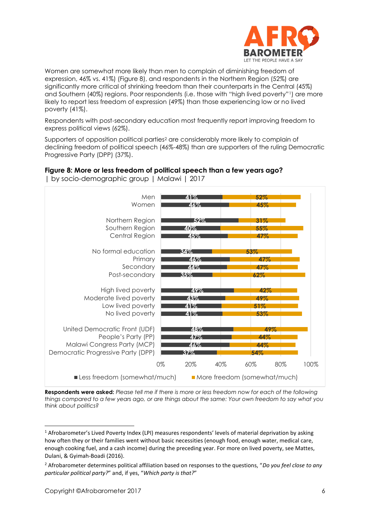

Women are somewhat more likely than men to complain of diminishing freedom of expression, 46% vs. 41%) (Figure 8), and respondents in the Northern Region (52%) are significantly more critical of shrinking freedom than their counterparts in the Central (45%) and Southern (40%) regions. Poor respondents (i.e. those with "high lived poverty"1) are more likely to report less freedom of expression (49%) than those experiencing low or no lived poverty (41%).

Respondents with post-secondary education most frequently report improving freedom to express political views (62%).

Supporters of opposition political parties<sup>2</sup> are considerably more likely to complain of declining freedom of political speech (46%-48%) than are supporters of the ruling Democratic Progressive Party (DPP) (37%).



**Figure 8: More or less freedom of political speech than a few years ago?**  | by socio-demographic group | Malawi | 2017

**Respondents were asked:** *Please tell me if there is more or less freedom now for each of the following things compared to a few years ago, or are things about the same: Your own freedom to say what you think about politics?*

 $1$  Afrobarometer's Lived Poverty Index (LPI) measures respondents' levels of material deprivation by asking how often they or their families went without basic necessities (enough food, enough water, medical care, enough cooking fuel, and a cash income) during the preceding year. For more on lived poverty, see Mattes, Dulani, & Gyimah-Boadi (2016).

<sup>2</sup> Afrobarometer determines political affiliation based on responses to the questions, "*Do you feel close to any particular political party?*" and, if yes, "*Which party is that?*"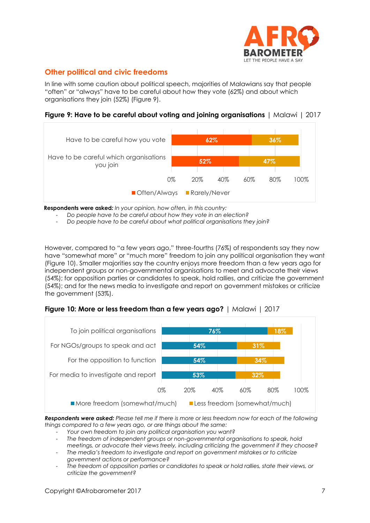

# **Other political and civic freedoms**

In line with some caution about political speech, majorities of Malawians say that people "often" or "always" have to be careful about how they vote (62%) and about which organisations they join (52%) (Figure 9).

**Figure 9: Have to be careful about voting and joining organisations** | Malawi | 2017



**Respondents were asked***: In your opinion, how often, in this country:*

- *Do people have to be careful about how they vote in an election?*
- *Do people have to be careful about what political organisations they join?*

However, compared to "a few years ago," three-fourths (76%) of respondents say they now have "somewhat more" or "much more" freedom to join any political organisation they want (Figure 10). Smaller majorities say the country enjoys more freedom than a few years ago for independent groups or non-governmental organisations to meet and advocate their views (54%); for opposition parties or candidates to speak, hold rallies, and criticize the government (54%); and for the news media to investigate and report on government mistakes or criticize the government (53%).





*Respondents were asked: Please tell me if there is more or less freedom now for each of the following things compared to a few years ago, or are things about the same:* 

- *Your own freedom to join any political organisation you want?*
- *The freedom of independent groups or non-governmental organisations to speak, hold meetings, or advocate their views freely, including criticizing the government if they choose?*
- *The media's freedom to investigate and report on government mistakes or to criticize government actions or performance?*
- *The freedom of opposition parties or candidates to speak or hold rallies, state their views, or criticize the government?*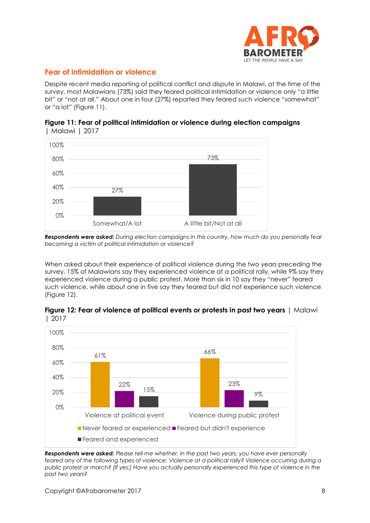

## **Fear of intimidation or violence**

Despite recent media reporting of political conflict and dispute in Malawi, at the time of the survey, most Malawians (73%) said they feared political intimidation or violence only "a little bit" or "not at all." About one in four (27%) reported they feared such violence "somewhat" or "a lot" (Figure 11).





*Respondents were asked: During election campaigns in this country, how much do you personally fear becoming a victim of political intimidation or violence?*

When asked about their experience of political violence during the two years preceding the survey, 15% of Malawians say they experienced violence at a political rally, while 9% say they experienced violence during a public protest. More than six in 10 say they "never" feared such violence, while about one in five say they feared but did not experience such violence (Figure 12).

**Figure 12: Fear of violence at political events or protests in past two years** | Malawi | 2017



*Respondents were asked: Please tell me whether, in the past two years, you have ever personally feared any of the following types of violence: Violence at a political rally? Violence occurring during a public protest or march? [If yes:] Have you actually personally experienced this type of violence in the past two years?*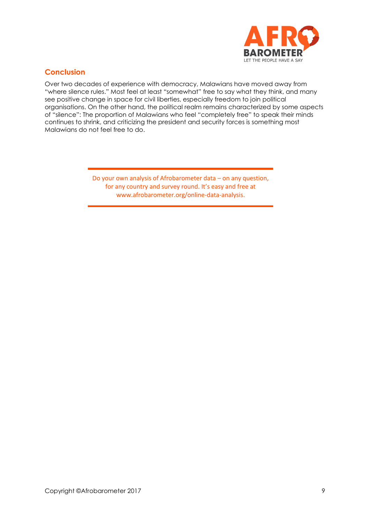

# **Conclusion**

Over two decades of experience with democracy, Malawians have moved away from "where silence rules." Most feel at least "somewhat" free to say what they think, and many see positive change in space for civil liberties, especially freedom to join political organisations. On the other hand, the political realm remains characterized by some aspects of "silence": The proportion of Malawians who feel "completely free" to speak their minds continues to shrink, and criticizing the president and security forces is something most Malawians do not feel free to do.

> Do your own analysis of Afrobarometer data – on any question, for any country and survey round. It's easy and free at www.afrobarometer.org/online-data-analysis.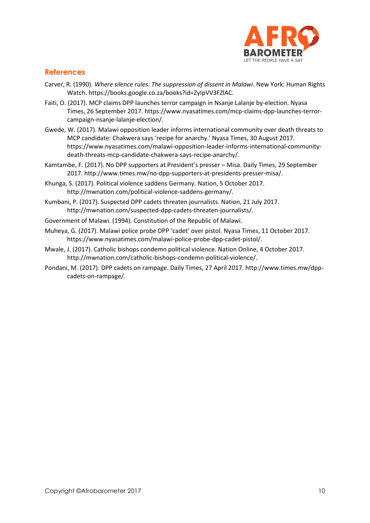

#### **References**

- Carver, R. (1990). *Where silence rules: The suppression of dissent in Malawi*. New York: Human Rights Watch. https://books.google.co.za/books?id=ZyIpVV3FZlAC.
- Faiti, O. (2017). MCP claims DPP launches terror campaign in Nsanje Lalanje by-election. Nyasa Times, 26 September 2017. https://www.nyasatimes.com/mcp-claims-dpp-launches-terrorcampaign-nsanje-lalanje-election/.
- Gwede, W. (2017). Malawi opposition leader informs international community over death threats to MCP candidate: Chakwera says 'recipe for anarchy.' Nyasa Times, 30 August 2017. https://www.nyasatimes.com/malawi-opposition-leader-informs-international-communitydeath-threats-mcp-candidate-chakwera-says-recipe-anarchy/.
- Kamtambe, F. (2017). No DPP supporters at President's presser Misa. Daily Times, 29 September 2017. http://www.times.mw/no-dpp-supporters-at-presidents-presser-misa/.
- Khunga, S. (2017). Political violence saddens Germany. Nation, 5 October 2017. http://mwnation.com/political-violence-saddens-germany/.
- Kumbani, P. (2017). Suspected DPP cadets threaten journalists. Nation, 21 July 2017. http://mwnation.com/suspected-dpp-cadets-threaten-journalists/.
- Government of Malawi. (1994). Constitution of the Republic of Malawi.
- Muheya, G. (2017). Malawi police probe DPP 'cadet' over pistol. Nyasa Times, 11 October 2017. https://www.nyasatimes.com/malawi-police-probe-dpp-cadet-pistol/.
- Mwale, J. (2017). Catholic bishops condemn political violence. Nation Online, 4 October 2017. http://mwnation.com/catholic-bishops-condemn-political-violence/.
- Pondani, M. (2017). DPP cadets on rampage. Daily Times, 27 April 2017. http://www.times.mw/dppcadets-on-rampage/.